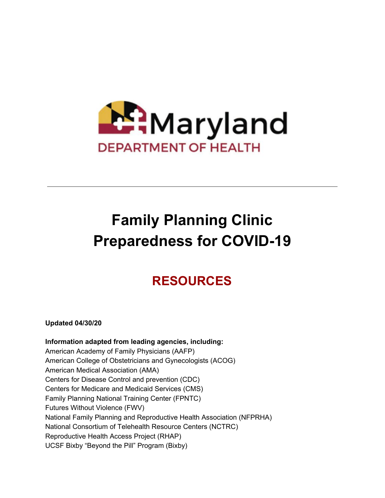

# **Family Planning Clinic Preparedness for COVID-19**

## **RESOURCES**

**Updated 04/30/20**

**Information adapted from leading agencies, including:** American Academy of Family Physicians (AAFP) American College of Obstetricians and Gynecologists (ACOG) American Medical Association (AMA) Centers for Disease Control and prevention (CDC) Centers for Medicare and Medicaid Services (CMS) Family Planning National Training Center (FPNTC) Futures Without Violence (FWV) National Family Planning and Reproductive Health Association (NFPRHA) National Consortium of Telehealth Resource Centers (NCTRC) Reproductive Health Access Project (RHAP) UCSF Bixby "Beyond the Pill" Program (Bixby)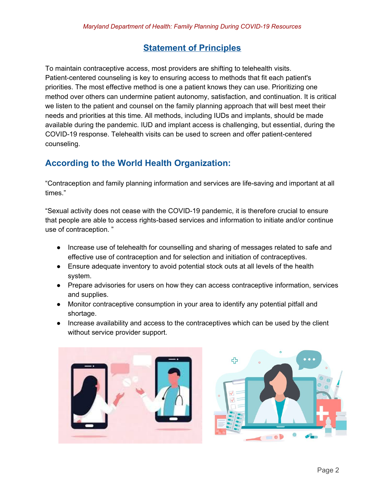## **Statement of Principles**

To maintain contraceptive access, most providers are shifting to telehealth visits. Patient-centered counseling is key to ensuring access to methods that fit each patient's priorities. The most effective method is one a patient knows they can use. Prioritizing one method over others can undermine patient autonomy, satisfaction, and continuation. It is critical we listen to the patient and counsel on the family planning approach that will best meet their needs and priorities at this time. All methods, including IUDs and implants, should be made available during the pandemic. IUD and implant access is challenging, but essential, during the COVID-19 response. Telehealth visits can be used to screen and offer patient-centered counseling.

## **According to the World Health Organization:**

"Contraception and family planning information and services are life-saving and important at all times."

"Sexual activity does not cease with the COVID-19 pandemic, it is therefore crucial to ensure that people are able to access rights-based services and information to initiate and/or continue use of contraception. "

- Increase use of telehealth for counselling and sharing of messages related to safe and effective use of contraception and for selection and initiation of contraceptives.
- Ensure adequate inventory to avoid potential stock outs at all levels of the health system.
- Prepare advisories for users on how they can access contraceptive information, services and supplies.
- Monitor contraceptive consumption in your area to identify any potential pitfall and shortage.
- Increase availability and access to the contraceptives which can be used by the client without service provider support.



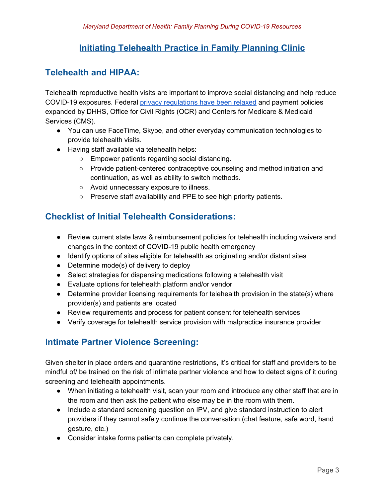## **Initiating Telehealth Practice in Family Planning Clinic**

### **Telehealth and HIPAA:**

Telehealth reproductive health visits are important to improve social distancing and help reduce COVID-19 exposures. Federal privacy [regulations](https://www.cms.gov/files/document/summary-covid-19-emergency-declaration-waivers.pdf) have been relaxed and payment policies expanded by DHHS, Office for Civil Rights (OCR) and Centers for Medicare & Medicaid Services (CMS).

- You can use FaceTime, Skype, and other everyday communication technologies to provide telehealth visits.
- Having staff available via telehealth helps:
	- Empower patients regarding social distancing.
	- Provide patient-centered contraceptive counseling and method initiation and continuation, as well as ability to switch methods.
	- Avoid unnecessary exposure to illness.
	- Preserve staff availability and PPE to see high priority patients.

## **Checklist of Initial Telehealth Considerations:**

- Review current state laws & reimbursement policies for telehealth including waivers and changes in the context of COVID-19 public health emergency
- Identify options of sites eligible for telehealth as originating and/or distant sites
- Determine mode(s) of delivery to deploy
- Select strategies for dispensing medications following a telehealth visit
- Evaluate options for telehealth platform and/or vendor
- Determine provider licensing requirements for telehealth provision in the state(s) where provider(s) and patients are located
- Review requirements and process for patient consent for telehealth services
- Verify coverage for telehealth service provision with malpractice insurance provider

## **Intimate Partner Violence Screening:**

Given shelter in place orders and quarantine restrictions, it's critical for staff and providers to be mindful of/ be trained on the risk of intimate partner violence and how to detect signs of it during screening and telehealth appointments.

- When initiating a telehealth visit, scan your room and introduce any other staff that are in the room and then ask the patient who else may be in the room with them.
- Include a standard screening question on IPV, and give standard instruction to alert providers if they cannot safely continue the conversation (chat feature, safe word, hand gesture, etc.)
- Consider intake forms patients can complete privately.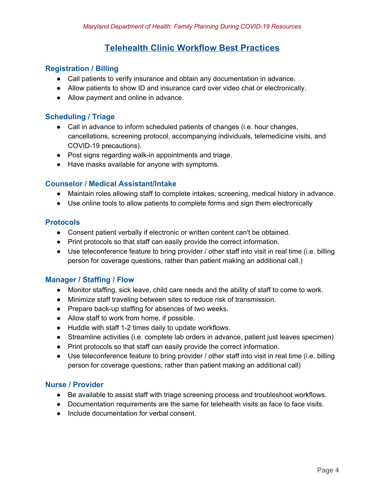## **Telehealth Clinic Workflow Best Practices**

#### **Registration / Billing**

- Call patients to verify insurance and obtain any documentation in advance.
- Allow patients to show ID and insurance card over video chat or electronically.
- Allow payment and online in advance.

#### **Scheduling / Triage**

- Call in advance to inform scheduled patients of changes (i.e. hour changes, cancellations, screening protocol, accompanying individuals, telemedicine visits, and COVID-19 precautions).
- Post signs regarding walk-in appointments and triage.
- Have masks available for anyone with symptoms.

#### **Counselor / Medical Assistant/Intake**

- Maintain roles allowing staff to complete intakes, screening, medical history in advance.
- Use online tools to allow patients to complete forms and sign them electronically

#### **Protocols**

- Consent patient verbally if electronic or written content can't be obtained.
- Print protocols so that staff can easily provide the correct information.
- Use teleconference feature to bring provider / other staff into visit in real time (i.e. billing person for coverage questions, rather than patient making an additional call.)

#### **Manager / Staffing / Flow**

- Monitor staffing, sick leave, child care needs and the ability of staff to come to work.
- Minimize staff traveling between sites to reduce risk of transmission.
- Prepare back-up staffing for absences of two weeks.
- Allow staff to work from home, if possible.
- Huddle with staff 1-2 times daily to update workflows.
- Streamline activities (i.e. complete lab orders in advance, patient just leaves specimen)
- Print protocols so that staff can easily provide the correct information.
- Use teleconference feature to bring provider / other staff into visit in real time (i.e. billing person for coverage questions, rather than patient making an additional call)

#### **Nurse / Provider**

- Be available to assist staff with triage screening process and troubleshoot workflows.
- Documentation requirements are the same for telehealth visits as face to face visits.
- Include documentation for verbal consent.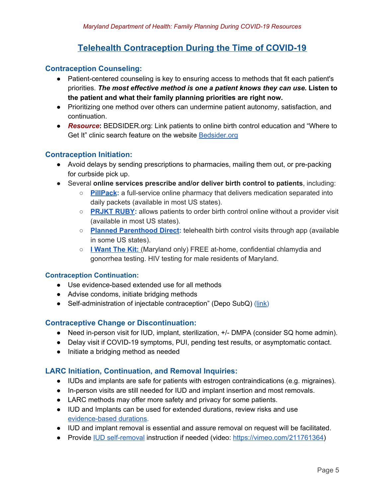## **Telehealth Contraception During the Time of COVID-19**

#### **Contraception Counseling:**

- Patient-centered counseling is key to ensuring access to methods that fit each patient's priorities. *The most effective method is one a patient knows they can use.* **Listen to the patient and what their family planning priorities are right now.**
- *●* Prioritizing one method over others can undermine patient autonomy, satisfaction, and continuation.
- *● Resource***:** BEDSIDER.org: Link patients to online birth control education and "Where to Get It" clinic search feature on the website [Bedsider.org](https://www.bedsider.org/)

#### **Contraception Initiation:**

- Avoid delays by sending prescriptions to pharmacies, mailing them out, or pre-packing for curbside pick up.
- Several **online services prescribe and/or deliver birth control to patients**, including:
	- **[PillPack](https://owa.baltimorecity.gov/owa/redir.aspx?C=tLfRjR8xaugsFA_gOtwSWY0z_csBlrkxtkerzz1j4UB_3HR60ubXCA..&URL=https%3a%2f%2fucsf.us11.list-manage.com%2ftrack%2fclick%3fu%3def0385ef27322bee3a4371d6f%26id%3da12600b27d%26e%3d789b436545):** a full-service online pharmacy that delivers medication separated into daily packets (available in most US states).
	- **[PRJKT](https://owa.baltimorecity.gov/owa/redir.aspx?C=LjB7YnCGY8LF37QO66Uel0ulxs-eKDykrrYgrG7hUHl_3HR60ubXCA..&URL=https%3a%2f%2fucsf.us11.list-manage.com%2ftrack%2fclick%3fu%3def0385ef27322bee3a4371d6f%26id%3d7577f52bd3%26e%3d789b436545) RUBY:** allows patients to order birth control online without a provider visit (available in most US states).
	- **Planned [Parenthood](https://owa.baltimorecity.gov/owa/redir.aspx?C=RJ-r9v304lFDggpkoZ6H1Gdll7ZiZYUQ6qZAFNfQjpzjPnd60ubXCA..&URL=https%3a%2f%2fucsf.us11.list-manage.com%2ftrack%2fclick%3fu%3def0385ef27322bee3a4371d6f%26id%3de9228b4273%26e%3d789b436545) Direct:** telehealth birth control visits through app (available in some US states).
	- **I [Want](https://www.iwantthekit.org/) The Kit:** [\(](https://www.iwantthekit.org/)Maryland only) FREE at-home, confidential chlamydia and gonorrhea testing. HIV testing for male residents of Maryland.

#### **Contraception Continuation:**

- Use evidence-based extended use for all methods
- Advise condoms, initiate bridging methods
- Self-administration of injectable contraception" (Depo SubQ) ([link](https://www.reproductiveaccess.org/resource/contraceptive-pearl-self-administered-progestin-injection-depo-subq/))

#### **Contraceptive Change or Discontinuation:**

- Need in-person visit for IUD, implant, sterilization, +/- DMPA (consider SQ home admin).
- Delay visit if COVID-19 symptoms, PUI, pending test results, or asymptomatic contact.
- Initiate a bridging method as needed

#### **LARC Initiation, Continuation, and Removal Inquiries:**

- IUDs and implants are safe for patients with estrogen contraindications (e.g. migraines).
- In-person visits are still needed for IUD and implant insertion and most removals.
- LARC methods may offer more safety and privacy for some patients.
- IUD and Implants can be used for extended durations, review risks and use [evidence-based](https://owa.baltimorecity.gov/owa/redir.aspx?C=DNXo8LoD4AXm5LKCh-TwpC6-ku87o1wzmigyyltG2Nko80Jr0ubXCA..&URL=https%3a%2f%2fucsf.us11.list-manage.com%2ftrack%2fclick%3fu%3def0385ef27322bee3a4371d6f%26id%3d11103f7f86%26e%3d789b436545) durations.
- IUD and implant removal is essential and assure removal on request will be facilitated.
- Provide IUD [self-removal](https://owa.baltimorecity.gov/owa/redir.aspx?C=a1WqO0jHqPR6YP5bmsrwGzE2JyDjONU0rWGfcfrT0RMo80Jr0ubXCA..&URL=https%3a%2f%2fucsf.us11.list-manage.com%2ftrack%2fclick%3fu%3def0385ef27322bee3a4371d6f%26id%3d62badf9c89%26e%3d789b436545) instruction if needed (video: [https://vimeo.com/211761364\)](https://vimeo.com/211761364)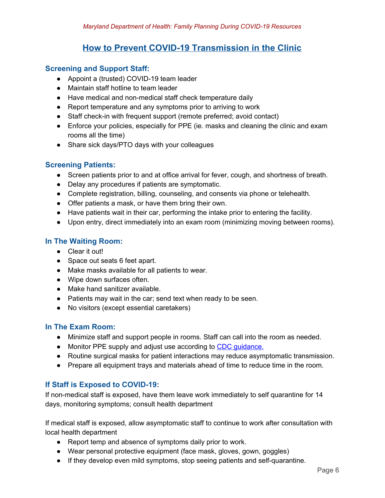## **How to Prevent COVID-19 Transmission in the Clinic**

#### **Screening and Support Staff:**

- Appoint a (trusted) COVID-19 team leader
- Maintain staff hotline to team leader
- Have medical and non-medical staff check temperature daily
- Report temperature and any symptoms prior to arriving to work
- Staff check-in with frequent support (remote preferred; avoid contact)
- Enforce your policies, especially for PPE (ie. masks and cleaning the clinic and exam rooms all the time)
- Share sick days/PTO days with your colleagues

#### **Screening Patients:**

- Screen patients prior to and at office arrival for fever, cough, and shortness of breath.
- Delay any procedures if patients are symptomatic.
- Complete registration, billing, counseling, and consents via phone or telehealth.
- Offer patients a mask, or have them bring their own.
- Have patients wait in their car, performing the intake prior to entering the facility.
- Upon entry, direct immediately into an exam room (minimizing moving between rooms).

#### **In The Waiting Room:**

- Clear it out!
- Space out seats 6 feet apart.
- Make masks available for all patients to wear.
- Wipe down surfaces often.
- Make hand sanitizer available.
- Patients may wait in the car; send text when ready to be seen.
- No visitors (except essential caretakers)

#### **In The Exam Room:**

- Minimize staff and support people in rooms. Staff can call into the room as needed.
- Monitor PPE supply and adjust use according to CDC quidance.
- Routine surgical masks for patient interactions may reduce asymptomatic transmission.
- Prepare all equipment trays and materials ahead of time to reduce time in the room.

#### **If Staff is Exposed to COVID-19:**

If non-medical staff is exposed, have them leave work immediately to self quarantine for 14 days, monitoring symptoms; consult health department

If medical staff is exposed, allow asymptomatic staff to continue to work after consultation with local health department

- Report temp and absence of symptoms daily prior to work.
- Wear personal protective equipment (face mask, gloves, gown, goggles)
- If they develop even mild symptoms, stop seeing patients and self-quarantine.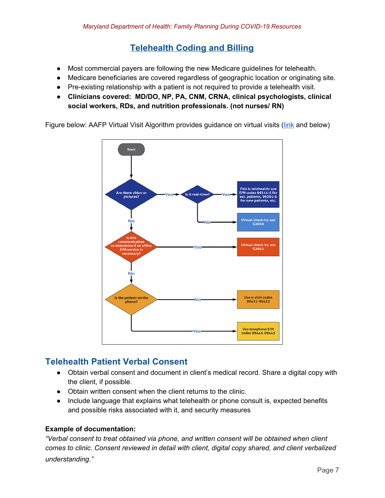## **Telehealth Coding and Billing**

- Most commercial payers are following the new Medicare guidelines for telehealth.
- Medicare beneficiaries are covered regardless of geographic location or originating site.
- Pre-existing relationship with a patient is not required to provide a telehealth visit.
- **● Clinicians covered: MD/DO, NP, PA, CNM, CRNA, clinical psychologists, clinical social workers, RDs, and nutrition professionals. (not nurses/ RN)**

Figure below: AAFP Virtual Visit Algorithm provides guidance on virtual visits ([link](https://www.aafp.org/journals/fpm/blogs/inpractice/entry/telehealth_algorithm.html?cmpid=em_FPM_20200325&emci=4107d822-c86e-ea11-a94c-00155d03b1e8&emdi=b38be143-6e6f-ea11-a94c-00155d03b1e8&ceid=117536) and below)



## **Telehealth Patient Verbal Consent**

- Obtain verbal consent and document in client's medical record. Share a digital copy with the client, if possible.
- Obtain written consent when the client returns to the clinic.
- Include language that explains what telehealth or phone consult is, expected benefits and possible risks associated with it, and security measures

#### **Example of documentation:**

*"Verbal consent to treat obtained via phone, and written consent will be obtained when client comes to clinic. Consent reviewed in detail with client, digital copy shared, and client verbalized understanding."*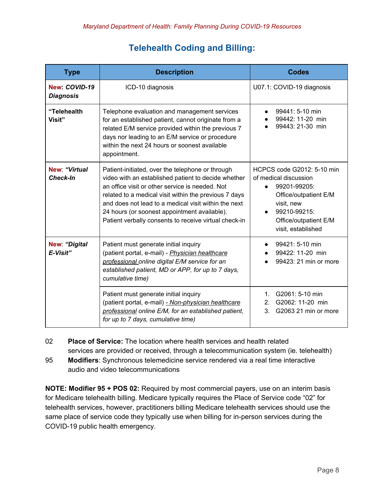## **Telehealth Coding and Billing:**

| <b>Type</b>                       | <b>Description</b>                                                                                                                                                                                                                                                                                                                                                                   | <b>Codes</b>                                                                                                                                                                           |
|-----------------------------------|--------------------------------------------------------------------------------------------------------------------------------------------------------------------------------------------------------------------------------------------------------------------------------------------------------------------------------------------------------------------------------------|----------------------------------------------------------------------------------------------------------------------------------------------------------------------------------------|
| New: COVID-19<br><b>Diagnosis</b> | ICD-10 diagnosis                                                                                                                                                                                                                                                                                                                                                                     | U07.1: COVID-19 diagnosis                                                                                                                                                              |
| "Telehealth<br>Visit"             | Telephone evaluation and management services<br>for an established patient, cannot originate from a<br>related E/M service provided within the previous 7<br>days nor leading to an E/M service or procedure<br>within the next 24 hours or soonest available<br>appointment.                                                                                                        | 99441: 5-10 min<br>99442: 11-20 min<br>99443: 21-30 min                                                                                                                                |
| New "Virtual<br><b>Check-In</b>   | Patient-initiated, over the telephone or through<br>video with an established patient to decide whether<br>an office visit or other service is needed. Not<br>related to a medical visit within the previous 7 days<br>and does not lead to a medical visit within the next<br>24 hours (or soonest appointment available).<br>Patient verbally consents to receive virtual check-in | HCPCS code G2012: 5-10 min<br>of medical discussion<br>99201-99205:<br>$\bullet$<br>Office/outpatient E/M<br>visit, new<br>99210-99215:<br>Office/outpatient E/M<br>visit, established |
| New: "Digital<br>E-Visit"         | Patient must generate initial inquiry<br>(patient portal, e-mail) - Physician healthcare<br>professional online digital E/M service for an<br>established patient, MD or APP, for up to 7 days,<br>cumulative time)                                                                                                                                                                  | 99421: 5-10 min<br>99422: 11-20 min<br>99423: 21 min or more                                                                                                                           |
|                                   | Patient must generate initial inquiry<br>(patient portal, e-mail) - Non-physician healthcare<br>professional online E/M, for an established patient,<br>for up to 7 days, cumulative time)                                                                                                                                                                                           | G2061: 5-10 min<br>$1 \quad$<br>G2062: 11-20 min<br>2 <sup>1</sup><br>G2063 21 min or more<br>3.                                                                                       |

02 **Place of Service:** The location where health services and health related services are provided or received, through a telecommunication system (ie. telehealth)

95 **Modifiers**: Synchronous telemedicine service rendered via a real time interactive audio and video telecommunications

**NOTE: Modifier 95 + POS 02:** Required by most commercial payers, use on an interim basis for Medicare telehealth billing. Medicare typically requires the Place of Service code "02" for telehealth services, however, practitioners billing Medicare telehealth services should use the same place of service code they typically use when billing for in-person services during the COVID-19 public health emergency.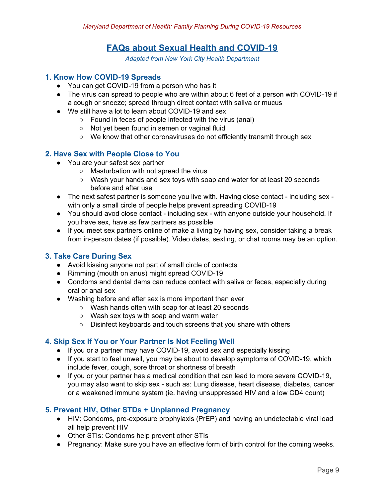## **FAQs about Sexual Health and COVID-19**

*Adapted from New York City Health Department*

#### **1. Know How COVID-19 Spreads**

- You can get COVID-19 from a person who has it
- The virus can spread to people who are within about 6 feet of a person with COVID-19 if a cough or sneeze; spread through direct contact with saliva or mucus
- We still have a lot to learn about COVID-19 and sex
	- Found in feces of people infected with the virus (anal)
	- Not yet been found in semen or vaginal fluid
	- We know that other coronaviruses do not efficiently transmit through sex

#### **2. Have Sex with People Close to You**

- You are your safest sex partner
	- Masturbation with not spread the virus
	- Wash your hands and sex toys with soap and water for at least 20 seconds before and after use
- The next safest partner is someone you live with. Having close contact including sex with only a small circle of people helps prevent spreading COVID-19
- You should avod close contact including sex with anyone outside your household. If you have sex, have as few partners as possible
- If you meet sex partners online of make a living by having sex, consider taking a break from in-person dates (if possible). Video dates, sexting, or chat rooms may be an option.

#### **3. Take Care During Sex**

- Avoid kissing anyone not part of small circle of contacts
- Rimming (mouth on anus) might spread COVID-19
- Condoms and dental dams can reduce contact with saliva or feces, especially during oral or anal sex
- Washing before and after sex is more important than ever
	- Wash hands often with soap for at least 20 seconds
	- Wash sex toys with soap and warm water
	- Disinfect keyboards and touch screens that you share with others

#### **4. Skip Sex If You or Your Partner Is Not Feeling Well**

- If you or a partner may have COVID-19, avoid sex and especially kissing
- If you start to feel unwell, you may be about to develop symptoms of COVID-19, which include fever, cough, sore throat or shortness of breath
- If you or your partner has a medical condition that can lead to more severe COVID-19, you may also want to skip sex - such as: Lung disease, heart disease, diabetes, cancer or a weakened immune system (ie. having unsuppressed HIV and a low CD4 count)

#### **5. Prevent HIV, Other STDs + Unplanned Pregnancy**

- HIV: Condoms, pre-exposure prophylaxis (PrEP) and having an undetectable viral load all help prevent HIV
- Other STIs: Condoms help prevent other STIs
- Pregnancy: Make sure you have an effective form of birth control for the coming weeks.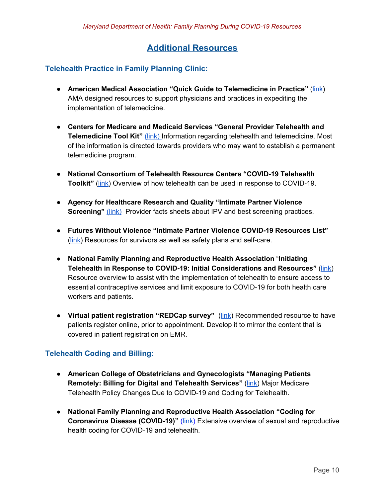## **Additional Resources**

#### **Telehealth Practice in Family Planning Clinic:**

- **American Medical Association "Quick Guide to Telemedicine in Practice"** [\(link\)](https://www.ama-assn.org/practice-management/digital/ama-quick-guide-telemedicine-practice) AMA designed resources to support physicians and practices in expediting the implementation of telemedicine.
- **Centers for Medicare and Medicaid Services "General Provider Telehealth and Telemedicine Tool Kit"** [\(link\)](https://www.aafp.org/dam/AAFP/documents/advocacy/prevention/crisis/CMSGeneralTelemedicineToolkit.pdf) Information regarding telehealth and telemedicine. Most of the information is directed towards providers who may want to establish a permanent telemedicine program.
- **National Consortium of Telehealth Resource Centers "COVID-19 Telehealth Toolkit"** [\(link](https://www.telehealthresourcecenter.org/download/3/webinars/3557/telehealth-and-covid-19-final.pdf)) Overview of how telehealth can be used in response to COVID-19.
- **Agency for Healthcare Research and Quality "Intimate Partner Violence Screening"** [\(link\)](https://www.ahrq.gov/ncepcr/tools/healthier-pregnancy/fact-sheets/partner-violence.html) Provider facts sheets about IPV and best screening practices.
- **Futures Without Violence "Intimate Partner Violence COVID-19 Resources List"** ([link](https://www.futureswithoutviolence.org/get-updates-information-covid-19/)) Resources for survivors as well as safety plans and self-care.
- **National Family Planning and Reproductive Health Association** "**Initiating Telehealth in Response to COVID-19: Initial Considerations and Resources"** ([link](https://www.nationalfamilyplanning.org/file/NFPRHA-Resource_Telehealth-COVID-19-Response-3.30.2020.pdf?erid=2275479&trid=ee7f09c4-fb54-41c7-8004-6adef38110c4)) Resource overview to assist with the implementation of telehealth to ensure access to essential contraceptive services and limit exposure to COVID-19 for both health care workers and patients.
- **Virtual patient registration "REDCap survey"** [\(link\)](https://www.project-redcap.org/) Recommended resource to have patients register online, prior to appointment. Develop it to mirror the content that is covered in patient registration on EMR.

#### **Telehealth Coding and Billing:**

- **American College of Obstetricians and Gynecologists "Managing Patients Remotely: Billing for Digital and Telehealth Services"** ([link\)](https://www.acog.org/practice-management/coding/coding-library/managing-patients-remotely-billing-for-digital-and-telehealth-services) Major Medicare Telehealth Policy Changes Due to COVID-19 and Coding for Telehealth.
- **National Family Planning and Reproductive Health Association "Coding for Coronavirus Disease (COVID-19)"** ([link\)](https://www.nationalfamilyplanning.org/file/CODING---COVID-19---FINAL.pdf) Extensive overview of sexual and reproductive health coding for COVID-19 and telehealth.